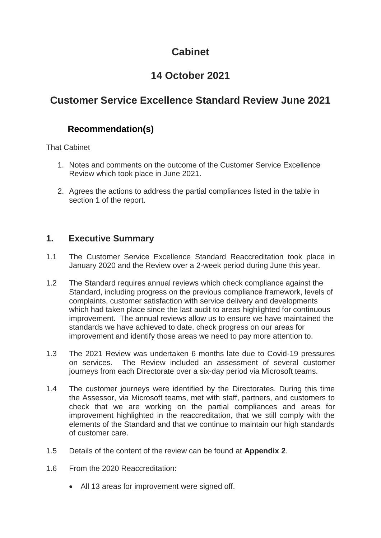## **Cabinet**

# **14 October 2021**

## **Customer Service Excellence Standard Review June 2021**

## **Recommendation(s)**

That Cabinet

- 1. Notes and comments on the outcome of the Customer Service Excellence Review which took place in June 2021.
- 2. Agrees the actions to address the partial compliances listed in the table in section 1 of the report.

### **1. Executive Summary**

- 1.1 The Customer Service Excellence Standard Reaccreditation took place in January 2020 and the Review over a 2-week period during June this year.
- 1.2 The Standard requires annual reviews which check compliance against the Standard, including progress on the previous compliance framework, levels of complaints, customer satisfaction with service delivery and developments which had taken place since the last audit to areas highlighted for continuous improvement. The annual reviews allow us to ensure we have maintained the standards we have achieved to date, check progress on our areas for improvement and identify those areas we need to pay more attention to.
- 1.3 The 2021 Review was undertaken 6 months late due to Covid-19 pressures on services. The Review included an assessment of several customer journeys from each Directorate over a six-day period via Microsoft teams.
- 1.4 The customer journeys were identified by the Directorates. During this time the Assessor, via Microsoft teams, met with staff, partners, and customers to check that we are working on the partial compliances and areas for improvement highlighted in the reaccreditation, that we still comply with the elements of the Standard and that we continue to maintain our high standards of customer care.
- 1.5 Details of the content of the review can be found at **Appendix 2**.
- 1.6 From the 2020 Reaccreditation:
	- All 13 areas for improvement were signed off.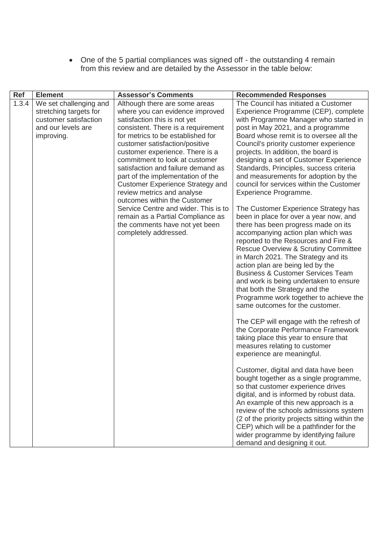• One of the 5 partial compliances was signed off - the outstanding 4 remain from this review and are detailed by the Assessor in the table below:

| <b>Ref</b> | <b>Element</b>                                                                                                | <b>Assessor's Comments</b>                                                                                                                                                                                                                                                                                                                                                                                                                                                                                                                                                                                     | <b>Recommended Responses</b>                                                                                                                                                                                                                                                                                                                                                                                                                                                                                                                                                                                                                                                                                                                                                                                                                                                                                                                                                                                                                                                                                                                                                                                                                                                                                                                                                                                                                                                                                                                                                                                                                                   |
|------------|---------------------------------------------------------------------------------------------------------------|----------------------------------------------------------------------------------------------------------------------------------------------------------------------------------------------------------------------------------------------------------------------------------------------------------------------------------------------------------------------------------------------------------------------------------------------------------------------------------------------------------------------------------------------------------------------------------------------------------------|----------------------------------------------------------------------------------------------------------------------------------------------------------------------------------------------------------------------------------------------------------------------------------------------------------------------------------------------------------------------------------------------------------------------------------------------------------------------------------------------------------------------------------------------------------------------------------------------------------------------------------------------------------------------------------------------------------------------------------------------------------------------------------------------------------------------------------------------------------------------------------------------------------------------------------------------------------------------------------------------------------------------------------------------------------------------------------------------------------------------------------------------------------------------------------------------------------------------------------------------------------------------------------------------------------------------------------------------------------------------------------------------------------------------------------------------------------------------------------------------------------------------------------------------------------------------------------------------------------------------------------------------------------------|
| 1.3.4      | We set challenging and<br>stretching targets for<br>customer satisfaction<br>and our levels are<br>improving. | Although there are some areas<br>where you can evidence improved<br>satisfaction this is not yet<br>consistent. There is a requirement<br>for metrics to be established for<br>customer satisfaction/positive<br>customer experience. There is a<br>commitment to look at customer<br>satisfaction and failure demand as<br>part of the implementation of the<br><b>Customer Experience Strategy and</b><br>review metrics and analyse<br>outcomes within the Customer<br>Service Centre and wider. This is to<br>remain as a Partial Compliance as<br>the comments have not yet been<br>completely addressed. | The Council has initiated a Customer<br>Experience Programme (CEP), complete<br>with Programme Manager who started in<br>post in May 2021, and a programme<br>Board whose remit is to oversee all the<br>Council's priority customer experience<br>projects. In addition, the board is<br>designing a set of Customer Experience<br>Standards, Principles, success criteria<br>and measurements for adoption by the<br>council for services within the Customer<br>Experience Programme.<br>The Customer Experience Strategy has<br>been in place for over a year now, and<br>there has been progress made on its<br>accompanying action plan which was<br>reported to the Resources and Fire &<br><b>Rescue Overview &amp; Scrutiny Committee</b><br>in March 2021. The Strategy and its<br>action plan are being led by the<br><b>Business &amp; Customer Services Team</b><br>and work is being undertaken to ensure<br>that both the Strategy and the<br>Programme work together to achieve the<br>same outcomes for the customer.<br>The CEP will engage with the refresh of<br>the Corporate Performance Framework<br>taking place this year to ensure that<br>measures relating to customer<br>experience are meaningful.<br>Customer, digital and data have been<br>bought together as a single programme,<br>so that customer experience drives<br>digital, and is informed by robust data.<br>An example of this new approach is a<br>review of the schools admissions system<br>(2 of the priority projects sitting within the<br>CEP) which will be a pathfinder for the<br>wider programme by identifying failure<br>demand and designing it out. |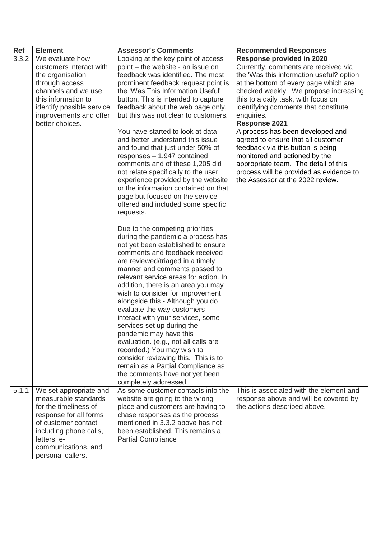| <b>Ref</b> | <b>Element</b>                                                                                                                                                                                                | <b>Assessor's Comments</b>                                                                                                                                                                                                                                                                                                                                                                                                                                                                                                                                                                                                                                                                                       | <b>Recommended Responses</b>                                                                                                                                                                                                                                                                                                                                                                                                                                                                                                                                                                |
|------------|---------------------------------------------------------------------------------------------------------------------------------------------------------------------------------------------------------------|------------------------------------------------------------------------------------------------------------------------------------------------------------------------------------------------------------------------------------------------------------------------------------------------------------------------------------------------------------------------------------------------------------------------------------------------------------------------------------------------------------------------------------------------------------------------------------------------------------------------------------------------------------------------------------------------------------------|---------------------------------------------------------------------------------------------------------------------------------------------------------------------------------------------------------------------------------------------------------------------------------------------------------------------------------------------------------------------------------------------------------------------------------------------------------------------------------------------------------------------------------------------------------------------------------------------|
| 3.3.2      | We evaluate how<br>customers interact with<br>the organisation<br>through access<br>channels and we use<br>this information to<br>identify possible service<br>improvements and offer<br>better choices.      | Looking at the key point of access<br>point – the website - an issue on<br>feedback was identified. The most<br>prominent feedback request point is<br>the 'Was This Information Useful'<br>button. This is intended to capture<br>feedback about the web page only,<br>but this was not clear to customers.<br>You have started to look at data<br>and better understand this issue<br>and found that just under 50% of<br>responses $-1,947$ contained<br>comments and of these 1,205 did<br>not relate specifically to the user<br>experience provided by the website                                                                                                                                         | <b>Response provided in 2020</b><br>Currently, comments are received via<br>the 'Was this information useful? option<br>at the bottom of every page which are<br>checked weekly. We propose increasing<br>this to a daily task, with focus on<br>identifying comments that constitute<br>enquiries.<br>Response 2021<br>A process has been developed and<br>agreed to ensure that all customer<br>feedback via this button is being<br>monitored and actioned by the<br>appropriate team. The detail of this<br>process will be provided as evidence to<br>the Assessor at the 2022 review. |
|            |                                                                                                                                                                                                               | or the information contained on that<br>page but focused on the service<br>offered and included some specific<br>requests.                                                                                                                                                                                                                                                                                                                                                                                                                                                                                                                                                                                       |                                                                                                                                                                                                                                                                                                                                                                                                                                                                                                                                                                                             |
|            |                                                                                                                                                                                                               | Due to the competing priorities<br>during the pandemic a process has<br>not yet been established to ensure<br>comments and feedback received<br>are reviewed/triaged in a timely<br>manner and comments passed to<br>relevant service areas for action. In<br>addition, there is an area you may<br>wish to consider for improvement<br>alongside this - Although you do<br>evaluate the way customers<br>interact with your services, some<br>services set up during the<br>pandemic may have this<br>evaluation. (e.g., not all calls are<br>recorded.) You may wish to<br>consider reviewing this. This is to<br>remain as a Partial Compliance as<br>the comments have not yet been<br>completely addressed. |                                                                                                                                                                                                                                                                                                                                                                                                                                                                                                                                                                                             |
| 5.1.1      | We set appropriate and<br>measurable standards<br>for the timeliness of<br>response for all forms<br>of customer contact<br>including phone calls,<br>letters, e-<br>communications, and<br>personal callers. | As some customer contacts into the<br>website are going to the wrong<br>place and customers are having to<br>chase responses as the process<br>mentioned in 3.3.2 above has not<br>been established. This remains a<br><b>Partial Compliance</b>                                                                                                                                                                                                                                                                                                                                                                                                                                                                 | This is associated with the element and<br>response above and will be covered by<br>the actions described above.                                                                                                                                                                                                                                                                                                                                                                                                                                                                            |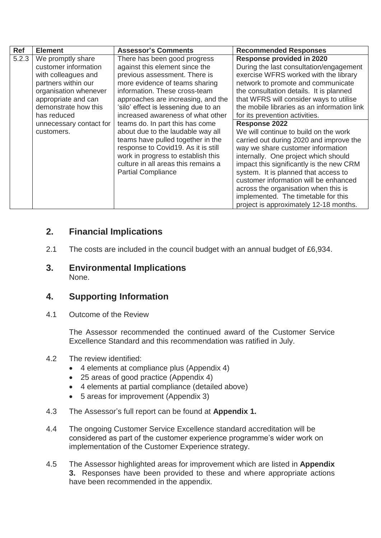| <b>Ref</b> | <b>Element</b>          | <b>Assessor's Comments</b>           | <b>Recommended Responses</b>                |
|------------|-------------------------|--------------------------------------|---------------------------------------------|
| 5.2.3      | We promptly share       | There has been good progress         | <b>Response provided in 2020</b>            |
|            | customer information    | against this element since the       | During the last consultation/engagement     |
|            | with colleagues and     | previous assessment. There is        | exercise WFRS worked with the library       |
|            | partners within our     | more evidence of teams sharing       | network to promote and communicate          |
|            | organisation whenever   | information. These cross-team        | the consultation details. It is planned     |
|            | appropriate and can     | approaches are increasing, and the   | that WFRS will consider ways to utilise     |
|            | demonstrate how this    | 'silo' effect is lessening due to an | the mobile libraries as an information link |
|            | has reduced             | increased awareness of what other    | for its prevention activities.              |
|            | unnecessary contact for | teams do. In part this has come      | <b>Response 2022</b>                        |
|            | customers.              | about due to the laudable way all    | We will continue to build on the work       |
|            |                         | teams have pulled together in the    | carried out during 2020 and improve the     |
|            |                         | response to Covid19. As it is still  | way we share customer information           |
|            |                         | work in progress to establish this   | internally. One project which should        |
|            |                         | culture in all areas this remains a  | impact this significantly is the new CRM    |
|            |                         | <b>Partial Compliance</b>            | system. It is planned that access to        |
|            |                         |                                      | customer information will be enhanced       |
|            |                         |                                      | across the organisation when this is        |
|            |                         |                                      | implemented. The timetable for this         |
|            |                         |                                      | project is approximately 12-18 months.      |

### **2. Financial Implications**

- 2.1 The costs are included in the council budget with an annual budget of £6,934.
- **3. Environmental Implications** None.

## **4. Supporting Information**

4.1 Outcome of the Review

The Assessor recommended the continued award of the Customer Service Excellence Standard and this recommendation was ratified in July.

- 4.2 The review identified:
	- 4 elements at compliance plus (Appendix 4)
	- 25 areas of good practice (Appendix 4)
	- 4 elements at partial compliance (detailed above)
	- 5 areas for improvement (Appendix 3)
- 4.3 The Assessor's full report can be found at **Appendix 1.**
- 4.4 The ongoing Customer Service Excellence standard accreditation will be considered as part of the customer experience programme's wider work on implementation of the Customer Experience strategy.
- 4.5 The Assessor highlighted areas for improvement which are listed in **Appendix 3.** Responses have been provided to these and where appropriate actions have been recommended in the appendix.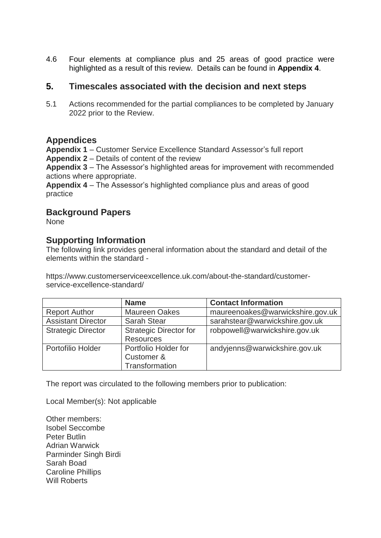4.6 Four elements at compliance plus and 25 areas of good practice were highlighted as a result of this review. Details can be found in **Appendix 4**.

### **5. Timescales associated with the decision and next steps**

5.1 Actions recommended for the partial compliances to be completed by January 2022 prior to the Review.

#### **Appendices**

**Appendix 1** – Customer Service Excellence Standard Assessor's full report **Appendix 2** – Details of content of the review

**Appendix 3** – The Assessor's highlighted areas for improvement with recommended actions where appropriate.

**Appendix 4** – The Assessor's highlighted compliance plus and areas of good practice

#### **Background Papers**

None

#### **Supporting Information**

The following link provides general information about the standard and detail of the elements within the standard -

https://www.customerserviceexcellence.uk.com/about-the-standard/customerservice-excellence-standard/

|                           | <b>Name</b>                                          | <b>Contact Information</b>       |
|---------------------------|------------------------------------------------------|----------------------------------|
| <b>Report Author</b>      | <b>Maureen Oakes</b>                                 | maureenoakes@warwickshire.gov.uk |
| <b>Assistant Director</b> | <b>Sarah Stear</b>                                   | sarahstear@warwickshire.gov.uk   |
| <b>Strategic Director</b> | <b>Strategic Director for</b><br><b>Resources</b>    | robpowell@warwickshire.gov.uk    |
| Portofilio Holder         | Portfolio Holder for<br>Customer &<br>Transformation | andyjenns@warwickshire.gov.uk    |

The report was circulated to the following members prior to publication:

Local Member(s): Not applicable

Other members: Isobel Seccombe Peter Butlin Adrian Warwick Parminder Singh Birdi Sarah Boad Caroline Phillips Will Roberts